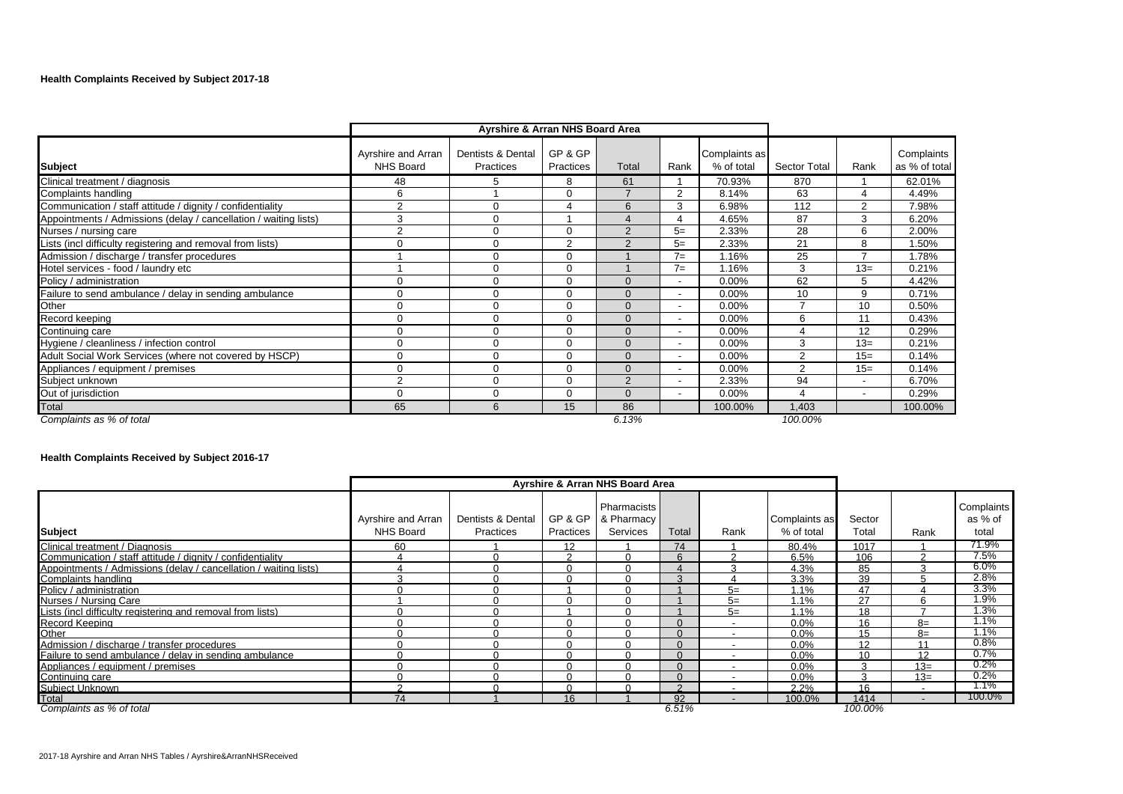# **Health Complaints Received by Subject 2017-18**

|                                                                  |                                        | Ayrshire & Arran NHS Board Area |                      |                |                          |                             |              |                          |                             |
|------------------------------------------------------------------|----------------------------------------|---------------------------------|----------------------|----------------|--------------------------|-----------------------------|--------------|--------------------------|-----------------------------|
| <b>Subject</b>                                                   | Ayrshire and Arran<br><b>NHS Board</b> | Dentists & Dental<br>Practices  | GP & GP<br>Practices | Total          | Rank                     | Complaints as<br>% of total | Sector Total | Rank                     | Complaints<br>as % of total |
| Clinical treatment / diagnosis                                   | 48                                     |                                 | 8                    | 61             |                          | 70.93%                      | 870          |                          | 62.01%                      |
| Complaints handling                                              | 6                                      |                                 | $\Omega$             |                | $\overline{2}$           | 8.14%                       | 63           | 4                        | 4.49%                       |
| Communication / staff attitude / dignity / confidentiality       | $\overline{2}$                         | $\Omega$                        |                      | 6              | 3                        | 6.98%                       | 112          | $\overline{2}$           | 7.98%                       |
| Appointments / Admissions (delay / cancellation / waiting lists) | 3                                      | $\Omega$                        |                      |                | 4                        | 4.65%                       | 87           | 3                        | 6.20%                       |
| Nurses / nursing care                                            | 2                                      |                                 | $\Omega$             | $\overline{2}$ | $5=$                     | 2.33%                       | 28           | 6                        | 2.00%                       |
| Lists (incl difficulty registering and removal from lists)       | 0                                      | $\Omega$                        | $\overline{2}$       | $\overline{2}$ | $5=$                     | 2.33%                       | 21           | 8                        | 1.50%                       |
| Admission / discharge / transfer procedures                      |                                        | $\Omega$                        | $\Omega$             |                | $7=$                     | 1.16%                       | 25           |                          | 1.78%                       |
| Hotel services - food / laundry etc                              |                                        | $\Omega$                        | $\Omega$             |                | $7=$                     | 1.16%                       | 3            | $13=$                    | 0.21%                       |
| Policy / administration                                          | 0                                      |                                 | $\Omega$             | $\Omega$       | $\overline{\phantom{a}}$ | $0.00\%$                    | 62           | 5                        | 4.42%                       |
| Failure to send ambulance / delay in sending ambulance           | 0                                      | $\Omega$                        | $\Omega$             | $\Omega$       | $\overline{\phantom{a}}$ | 0.00%                       | 10           | 9                        | 0.71%                       |
| Other                                                            | $\Omega$                               | $\Omega$                        | $\Omega$             | $\Omega$       | $\overline{\phantom{a}}$ | 0.00%                       | ⇁            | 10                       | 0.50%                       |
| Record keeping                                                   | $\Omega$                               |                                 | $\Omega$             | $\Omega$       | $\overline{\phantom{a}}$ | 0.00%                       | 6            | 11                       | 0.43%                       |
| Continuing care                                                  | 0                                      |                                 | $\Omega$             | $\Omega$       | $\overline{\phantom{a}}$ | 0.00%                       |              | 12                       | 0.29%                       |
| Hygiene / cleanliness / infection control                        | 0                                      |                                 | $\Omega$             | $\Omega$       | $\overline{\phantom{a}}$ | $0.00\%$                    | 3            | $13=$                    | 0.21%                       |
| Adult Social Work Services (where not covered by HSCP)           | 0                                      | $\Omega$                        | $\Omega$             | $\Omega$       | $\overline{\phantom{0}}$ | 0.00%                       | 2            | $15=$                    | 0.14%                       |
| Appliances / equipment / premises                                | $\Omega$                               | $\Omega$                        | $\Omega$             | $\Omega$       | $\overline{\phantom{a}}$ | 0.00%                       | 2            | $15=$                    | 0.14%                       |
| Subject unknown                                                  | $\overline{2}$                         | $\Omega$                        | $\Omega$             | 2              | $\overline{\phantom{a}}$ | 2.33%                       | 94           | $\overline{\phantom{a}}$ | 6.70%                       |
| Out of jurisdiction                                              | $\Omega$                               | $\Omega$                        | $\Omega$             | $\Omega$       | $\overline{\phantom{a}}$ | 0.00%                       | 4            | $\overline{\phantom{a}}$ | 0.29%                       |
| Total                                                            | 65                                     | 6                               | 15                   | 86             |                          | 100.00%                     | 1,403        |                          | 100.00%                     |
| Complaints as % of total                                         |                                        |                                 |                      | 6.13%          |                          |                             | 100.00%      |                          |                             |

# **Health Complaints Received by Subject 2016-17**

|                                                                  |                                 |                                |                      | <b>Ayrshire &amp; Arran NHS Board Area</b> |          |                          |                             |                 |       |                                       |
|------------------------------------------------------------------|---------------------------------|--------------------------------|----------------------|--------------------------------------------|----------|--------------------------|-----------------------------|-----------------|-------|---------------------------------------|
| <b>Subject</b>                                                   | Ayrshire and Arran<br>NHS Board | Dentists & Dental<br>Practices | GP & GP<br>Practices | Pharmacists<br>& Pharmacy<br>Services      | Total    | Rank                     | Complaints as<br>% of total | Sector<br>Total | Rank  | <b>Complaints</b><br>as % of<br>total |
| Clinical treatment / Diagnosis                                   | 60                              |                                | 12                   |                                            | 74       |                          | 80.4%                       | 1017            |       | 71.9%                                 |
| Communication / staff attitude / dignity / confidentiality       |                                 |                                | $\sim$               |                                            |          |                          | 6.5%                        | 106             |       | 7.5%                                  |
| Appointments / Admissions (delay / cancellation / waiting lists) |                                 |                                |                      |                                            |          |                          | 4.3%                        | 85              | p     | 6.0%                                  |
| Complaints handling                                              |                                 |                                |                      |                                            | $\Omega$ |                          | 3.3%                        | 39              |       | 2.8%                                  |
| Policy / administration                                          |                                 |                                |                      |                                            |          | $5=$                     | 1.1%                        | 47              |       | 3.3%                                  |
| Nurses / Nursing Care                                            |                                 |                                |                      |                                            |          | $5=$                     | 1.1%                        | 27              |       | 1.9%                                  |
| Lists (incl difficulty registering and removal from lists)       |                                 |                                |                      |                                            |          | $5=$                     | 1.1%                        | 18              |       | 1.3%                                  |
| <b>Record Keeping</b>                                            |                                 |                                |                      |                                            |          |                          | 0.0%                        | 16              | $8=$  | $1.1\%$                               |
| Other                                                            |                                 |                                |                      |                                            |          |                          | 0.0%                        | 15              | $8=$  | 1.1%                                  |
| Admission / discharge / transfer procedures                      |                                 |                                |                      |                                            |          | $\overline{\phantom{a}}$ | $0.0\%$                     | 12              | 11    | 0.8%                                  |
| Failure to send ambulance / delay in sending ambulance           |                                 |                                |                      |                                            |          |                          | 0.0%                        | 10              | 12    | 0.7%                                  |
| Appliances / equipment / premises                                |                                 |                                |                      |                                            |          |                          | 0.0%                        | $\sim$          | $13=$ | 0.2%                                  |
| Continuing care                                                  |                                 |                                |                      |                                            |          | ٠                        | $0.0\%$                     | ঽ               | $13=$ | 0.2%                                  |
| Subiect Unknown                                                  |                                 |                                |                      |                                            |          |                          | 2.2%                        | 16              |       | 1.1%                                  |
| Total                                                            | 74                              |                                | 16                   |                                            | Q2       |                          | 100.0%                      | 1414            |       | 100.0%                                |
| Complaints as % of total                                         |                                 |                                |                      |                                            | 6.51%    |                          |                             | 100.00%         |       |                                       |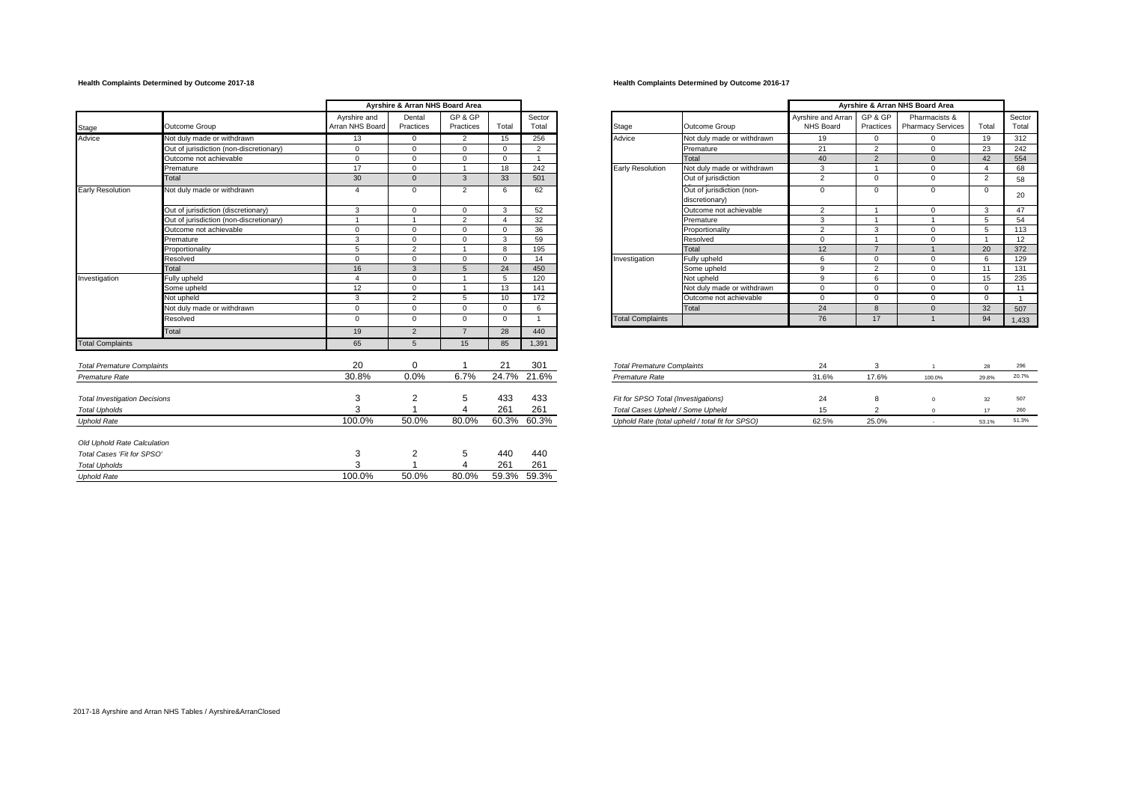## **Health Complaints Determined by Outcome 2017-18 Health Complaints Determined by Outcome 2016-17**

|                                      |                                         |                                 | Ayrshire & Arran NHS Board Area |                      |                       |                 |                                     |                                                 |                                 |                      | Ayrshire & Arran NHS Board Area           |                |                |
|--------------------------------------|-----------------------------------------|---------------------------------|---------------------------------|----------------------|-----------------------|-----------------|-------------------------------------|-------------------------------------------------|---------------------------------|----------------------|-------------------------------------------|----------------|----------------|
| Stage                                | Outcome Group                           | Ayrshire and<br>Arran NHS Board | Dental<br>Practices             | GP & GP<br>Practices | Total                 | Sector<br>Total | Stage                               | Outcome Group                                   | Ayrshire and Arrar<br>NHS Board | GP & GP<br>Practices | Pharmacists &<br><b>Pharmacy Services</b> | Total          | Secto<br>Tota  |
| Advice                               | Not duly made or withdrawn              | 13                              | $\Omega$                        | $\overline{2}$       | 15                    | 256             | Advice                              | Not duly made or withdrawn                      | 19                              | $\Omega$             | $\Omega$                                  | 19             | 312            |
|                                      | Out of jurisdiction (non-discretionary) | $\mathbf{0}$                    | $\Omega$                        | $\Omega$             | $\Omega$              | 2               |                                     | Premature                                       | 21                              | 2                    | $\Omega$                                  | 23             | 242            |
|                                      | Outcome not achievable                  | $\mathbf{0}$                    | $\overline{0}$                  | $\overline{0}$       | $\Omega$              |                 |                                     | Total                                           | 40                              | 2                    | $\Omega$                                  | 42             | 554            |
|                                      | Premature                               | 17                              | $\mathbf 0$                     |                      | 18                    | 242             | Early Resolution                    | Not duly made or withdrawn                      | $\overline{3}$                  |                      | $\Omega$                                  |                | 68             |
|                                      | Total                                   | 30                              | $\mathbf{0}$                    | $\overline{3}$       | 33                    | 501             |                                     | Out of jurisdiction                             | 2                               | $\Omega$             | $\mathbf{0}$                              | 2              | 58             |
| <b>Early Resolution</b>              | Not duly made or withdrawn              | $\overline{4}$                  | $\Omega$                        | 2                    | 6                     | 62              |                                     | Out of jurisdiction (non-<br>discretionary)     | $\mathbf{0}$                    | $\Omega$             | $\Omega$                                  | $\mathbf{0}$   | 20             |
|                                      | Out of jurisdiction (discretionary)     | 3                               | $\Omega$                        | $\overline{0}$       | 3                     | 52              |                                     | Outcome not achievable                          | 2                               |                      | $\Omega$                                  | 3              | 47             |
|                                      | Out of jurisdiction (non-discretionary) | $\overline{1}$                  |                                 | $\overline{2}$       | $\boldsymbol{\Delta}$ | 32              |                                     | Premature                                       | 3                               |                      |                                           | 5              | 54             |
|                                      | Outcome not achievable                  | $\mathbf{0}$                    | $\mathbf 0$                     | $\overline{0}$       | $\Omega$              | 36              |                                     | Proportionality                                 | 2                               | $\mathbf{3}$         | $\Omega$                                  | 5              | 113            |
|                                      | Premature                               | 3                               | $\Omega$                        | $\overline{0}$       | 3                     | 59              |                                     | Resolved                                        | $\mathbf{0}$                    |                      | $\mathbf 0$                               | $\overline{1}$ | 12             |
|                                      | Proportionality                         | 5                               | $\overline{2}$                  |                      | 8                     | 195             |                                     | Total                                           | 12                              |                      |                                           | 20             | 372            |
|                                      | Resolved                                | $\mathbf 0$                     | $\Omega$                        | $\overline{0}$       | $\Omega$              | 14              | Investigation                       | Fully upheld                                    | 6                               | $\mathbf{0}$         | $\mathbf 0$                               | 6              | 129            |
|                                      | Total                                   | 16                              | $\mathbf{3}$                    | $5\overline{5}$      | 24                    | 450             |                                     | Some upheld                                     | 9                               | 2                    | $\Omega$                                  | 11             | 131            |
| Investigation                        | Fully upheld                            | $\overline{4}$                  | $\Omega$                        |                      | 5                     | 120             |                                     | Not upheld                                      | 9                               | 6                    | $\Omega$                                  | 15             | 235            |
|                                      | Some upheld                             | 12                              | $\Omega$                        |                      | 13                    | 141             |                                     | Not duly made or withdrawn                      | $\overline{0}$                  | $\mathbf{0}$         | $\Omega$                                  | $\mathbf 0$    | 11             |
|                                      | Not upheld                              | 3                               | $\overline{2}$                  | 5                    | 10                    | 172             |                                     | Outcome not achievable                          | $\Omega$                        | $\Omega$             | $\Omega$                                  | $\mathbf 0$    | $\overline{1}$ |
|                                      | Not duly made or withdrawn              | $\mathbf 0$                     | $\Omega$                        | $\Omega$             | $\Omega$              | 6               |                                     | Total                                           | 24                              | $\mathbf{8}$         | $\Omega$                                  | 32             | 507            |
|                                      | Resolved                                | $\mathbf{0}$                    | $\mathbf{0}$                    | $\overline{0}$       | $\mathbf{0}$          |                 | <b>Total Complaints</b>             |                                                 | 76                              | 17                   |                                           | 94             | 1,433          |
|                                      | Total                                   | 19                              | $\overline{2}$                  | $\overline{7}$       | 28                    | 440             |                                     |                                                 |                                 |                      |                                           |                |                |
| <b>Total Complaints</b>              |                                         | 65                              | $5\overline{5}$                 | 15                   | 85                    | 1,391           |                                     |                                                 |                                 |                      |                                           |                |                |
| <b>Total Premature Complaints</b>    |                                         | 20                              | 0                               |                      | 21                    | 301             | <b>Total Premature Complaints</b>   |                                                 | 24                              | 3                    |                                           | 28             | 296            |
| Premature Rate                       |                                         | 30.8%                           | 0.0%                            | 6.7%                 | 24.7%                 | 21.6%           | Premature Rate                      |                                                 | 31.6%                           | 17.6%                | 100.0%                                    | 29.8%          | 20.7%          |
| <b>Total Investigation Decisions</b> |                                         | 3                               | $\overline{2}$                  | 5                    | 433                   | 433             | Fit for SPSO Total (Investigations) |                                                 | 24                              | 8                    | $\mathbf{0}$                              | 32             | 507            |
| <b>Total Upholds</b>                 |                                         | 3                               |                                 |                      | 261                   | 261             | Total Cases Upheld / Some Upheld    |                                                 | 15                              | 2                    | $\Omega$                                  | 17             | 260            |
| <b>Uphold Rate</b>                   |                                         | 100.0%                          | 50.0%                           | 80.0%                | 60.3%                 | 60.3%           |                                     | Uphold Rate (total upheld / total fit for SPSO) | 62.5%                           | 25.0%                | $\sim$                                    | 53.1%          | 51.3%          |
| Old Uphold Rate Calculation          |                                         |                                 |                                 |                      |                       |                 |                                     |                                                 |                                 |                      |                                           |                |                |
| Total Cases 'Fit for SPSO'           |                                         | 3                               | $\overline{c}$                  | 5                    | 440                   | 440             |                                     |                                                 |                                 |                      |                                           |                |                |
| <b>Total Upholds</b>                 |                                         |                                 |                                 |                      | 261                   | 261             |                                     |                                                 |                                 |                      |                                           |                |                |
| <b>Uphold Rate</b>                   |                                         | 100.0%                          | 50.0%                           | 80.0%                | 59.3%                 | 59.3%           |                                     |                                                 |                                 |                      |                                           |                |                |
|                                      |                                         |                                 |                                 |                      |                       |                 |                                     |                                                 |                                 |                      |                                           |                |                |

|                                         |                                 | Ayrshire & Arran NHS Board Area |                      |          |                 |                                             |                            | Ayrshire & Arran NHS Board Area |                      |                                           |                |                 |
|-----------------------------------------|---------------------------------|---------------------------------|----------------------|----------|-----------------|---------------------------------------------|----------------------------|---------------------------------|----------------------|-------------------------------------------|----------------|-----------------|
| Outcome Group                           | Ayrshire and<br>Arran NHS Board | Dental<br>Practices             | GP & GP<br>Practices | Total    | Sector<br>Total | Outcome Group<br>Stage                      |                            | Ayrshire and Arran<br>NHS Board | GP & GP<br>Practices | Pharmacists &<br><b>Pharmacy Services</b> | Total          | Sector<br>Total |
| Not duly made or withdrawn              | 13                              | $\Omega$                        | $\overline{2}$       | 15       | 256             | Advice                                      | Not duly made or withdrawn | 19                              | $\Omega$             | $\Omega$                                  | 19             | 312             |
| Out of jurisdiction (non-discretionary) | 0                               | $\Omega$                        |                      | $\Omega$ | $\sim$          | Premature                                   |                            | 21                              | $\sim$               | $\Omega$                                  | 23             | 242             |
| Outcome not achievable                  | $\Omega$                        | $\Omega$                        | $\Omega$             | $\Omega$ |                 | Total                                       |                            | 40                              | $\mathcal{P}$        | $\Omega$                                  | 42             | 554             |
| Premature                               | 17                              | $\Omega$                        |                      | 18       | 242             | Early Resolution                            | Not duly made or withdrawn | 3                               |                      | $\Omega$                                  |                | 68              |
| Total                                   | 30                              | $\Omega$                        | 3                    | 33       | 501             | Out of jurisdiction                         |                            | $\overline{2}$                  | $\Omega$             | $\Omega$                                  | $\overline{2}$ | 58              |
| Not duly made or withdrawn              |                                 | $\Omega$                        | $\overline{2}$       | 6        | 62              | Out of jurisdiction (non-<br>discretionary) |                            | $\Omega$                        | $\Omega$             | $\Omega$                                  | $\Omega$       | 20              |
| Out of jurisdiction (discretionary)     | 3                               | $\Omega$                        | $\Omega$             | 3        | 52              | Outcome not achievable                      |                            | $\overline{2}$                  |                      | $\Omega$                                  | $\mathcal{R}$  | 47              |
| Out of jurisdiction (non-discretionary) |                                 |                                 | ຳ                    |          | 32              | Premature                                   |                            | 3                               |                      |                                           |                | 54              |
| Outcome not achievable                  | $\Omega$                        | $\Omega$                        |                      | $\Omega$ | 36              | Proportionality                             |                            | $\sim$                          | 3                    | $\Omega$                                  |                | 113             |
| Premature                               | 3                               | $\Omega$                        | $\Omega$             | 3        | 59              | Resolved                                    |                            | $\Omega$                        |                      | $\Omega$                                  |                | 12              |
| Proportionality                         |                                 | $\sim$                          |                      | 8        | 195             | Total                                       |                            | 12                              |                      |                                           | 20             | 372             |
| Resolved                                | $\Omega$                        | $\Omega$                        | $\Omega$             | $\Omega$ | 14              | Fully upheld<br>Investigation               |                            | 6                               | $\Omega$             | $\Omega$                                  | 6              | 129             |
| Total                                   | 16                              | 3                               |                      | 24       | 450             | Some upheld                                 |                            | 9                               | $\overline{2}$       | $\Omega$                                  | 11             | 131             |
| Fully upheld                            |                                 | $\Omega$                        |                      | 5        | 120             | Not upheld                                  |                            | 9                               | 6                    | $\Omega$                                  | 15             | 235             |
| Some upheld                             | 12                              | $\Omega$                        |                      | 13       | 141             |                                             | Not duly made or withdrawn | $\Omega$                        | $\Omega$             | $\Omega$                                  | $\Omega$       | 11              |
| Not upheld                              | 3                               | $\overline{2}$                  |                      | 10       | 172             | Outcome not achievable                      |                            | $\Omega$                        | $\Omega$             | $\Omega$                                  | $\Omega$       |                 |
| Not duly made or withdrawn              | $^{\circ}$                      | $\Omega$                        | $\Omega$             | $\Omega$ | 6               | Total                                       |                            | 24                              | 8                    | $\Omega$                                  | 32             | 507             |
| Resolved                                | $\mathbf 0$                     | $\Omega$                        | $\Omega$             | $\Omega$ |                 | <b>Total Complaints</b>                     |                            | 76                              | 17                   |                                           | 94             | 1,433           |
| Total                                   | 19                              | $\overline{2}$                  |                      | 28       | 440             |                                             |                            |                                 |                      |                                           |                |                 |

| <b>Total Premature Complaints</b>               | 24    |       |        | 28    | 296   |
|-------------------------------------------------|-------|-------|--------|-------|-------|
| Premature Rate                                  | 31.6% | 17.6% | 100.0% | 29.8% | 20.7% |
|                                                 |       |       |        |       |       |
| Fit for SPSO Total (Investigations)             | 24    |       |        | 32    | 507   |
| Total Cases Upheld / Some Upheld                | 15    |       |        |       | 260   |
| Uphold Rate (total upheld / total fit for SPSO) | 62.5% | 25.0% |        | 53.1% | 51.3% |